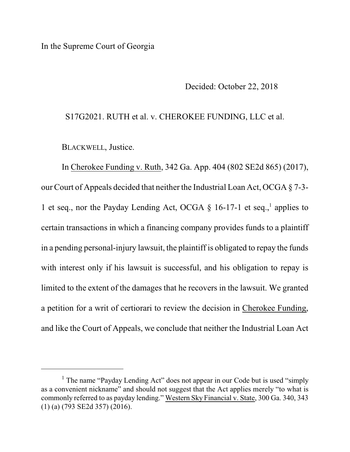In the Supreme Court of Georgia

Decided: October 22, 2018

## S17G2021. RUTH et al. v. CHEROKEE FUNDING, LLC et al.

BLACKWELL, Justice.

In Cherokee Funding v. Ruth, 342 Ga. App. 404 (802 SE2d 865) (2017), our Court of Appeals decided that neither the Industrial Loan Act, OCGA § 7-3- 1 et seq., nor the Payday Lending Act, OCGA § 16-17-1 et seq.,<sup>1</sup> applies to certain transactions in which a financing company provides funds to a plaintiff in a pending personal-injury lawsuit, the plaintiff is obligated to repay the funds with interest only if his lawsuit is successful, and his obligation to repay is limited to the extent of the damages that he recovers in the lawsuit. We granted a petition for a writ of certiorari to review the decision in Cherokee Funding, and like the Court of Appeals, we conclude that neither the Industrial Loan Act

<sup>&</sup>lt;sup>1</sup> The name "Payday Lending Act" does not appear in our Code but is used "simply as a convenient nickname" and should not suggest that the Act applies merely "to what is commonly referred to as payday lending." Western Sky Financial v. State, 300 Ga. 340, 343 (1) (a) (793 SE2d 357) (2016).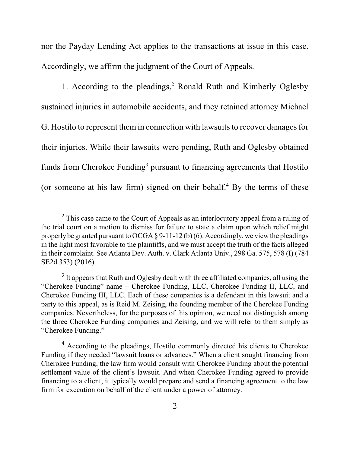nor the Payday Lending Act applies to the transactions at issue in this case. Accordingly, we affirm the judgment of the Court of Appeals.

1. According to the pleadings, $2$  Ronald Ruth and Kimberly Oglesby sustained injuries in automobile accidents, and they retained attorney Michael G. Hostilo to represent them in connection with lawsuits to recover damages for their injuries. While their lawsuits were pending, Ruth and Oglesby obtained funds from Cherokee Funding<sup>3</sup> pursuant to financing agreements that Hostilo (or someone at his law firm) signed on their behalf.<sup>4</sup> By the terms of these

 $2$  This case came to the Court of Appeals as an interlocutory appeal from a ruling of the trial court on a motion to dismiss for failure to state a claim upon which relief might properly be granted pursuant to OCGA § 9-11-12 (b) (6). Accordingly, we view the pleadings in the light most favorable to the plaintiffs, and we must accept the truth of the facts alleged in their complaint. See Atlanta Dev. Auth. v. Clark Atlanta Univ., 298 Ga. 575, 578 (I) (784 SE2d 353) (2016).

 $3$  It appears that Ruth and Oglesby dealt with three affiliated companies, all using the "Cherokee Funding" name – Cherokee Funding, LLC, Cherokee Funding II, LLC, and Cherokee Funding III, LLC. Each of these companies is a defendant in this lawsuit and a party to this appeal, as is Reid M. Zeising, the founding member of the Cherokee Funding companies. Nevertheless, for the purposes of this opinion, we need not distinguish among the three Cherokee Funding companies and Zeising, and we will refer to them simply as "Cherokee Funding."

<sup>&</sup>lt;sup>4</sup> According to the pleadings, Hostilo commonly directed his clients to Cherokee Funding if they needed "lawsuit loans or advances." When a client sought financing from Cherokee Funding, the law firm would consult with Cherokee Funding about the potential settlement value of the client's lawsuit. And when Cherokee Funding agreed to provide financing to a client, it typically would prepare and send a financing agreement to the law firm for execution on behalf of the client under a power of attorney.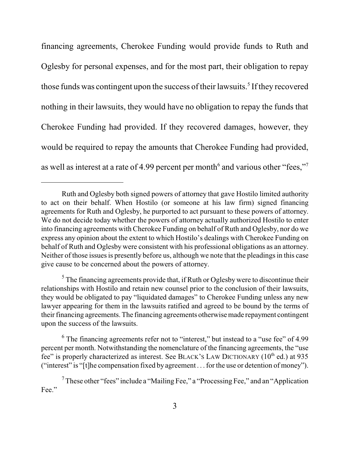financing agreements, Cherokee Funding would provide funds to Ruth and Oglesby for personal expenses, and for the most part, their obligation to repay those funds was contingent upon the success of their lawsuits.<sup>5</sup> If they recovered nothing in their lawsuits, they would have no obligation to repay the funds that Cherokee Funding had provided. If they recovered damages, however, they would be required to repay the amounts that Cherokee Funding had provided, as well as interest at a rate of 4.99 percent per month<sup>6</sup> and various other "fees,"<sup>7</sup>

 $<sup>5</sup>$  The financing agreements provide that, if Ruth or Oglesby were to discontinue their</sup> relationships with Hostilo and retain new counsel prior to the conclusion of their lawsuits, they would be obligated to pay "liquidated damages" to Cherokee Funding unless any new lawyer appearing for them in the lawsuits ratified and agreed to be bound by the terms of their financing agreements. The financing agreements otherwise made repayment contingent upon the success of the lawsuits.

 $6$  The financing agreements refer not to "interest," but instead to a "use fee" of 4.99 percent per month. Notwithstanding the nomenclature of the financing agreements, the "use fee" is properly characterized as interest. See BLACK's LAW DICTIONARY ( $10^{th}$  ed.) at 935 ("interest" is "[t]he compensation fixed by agreement . . . for the use or detention of money").

Ruth and Oglesby both signed powers of attorney that gave Hostilo limited authority to act on their behalf. When Hostilo (or someone at his law firm) signed financing agreements for Ruth and Oglesby, he purported to act pursuant to these powers of attorney. We do not decide today whether the powers of attorney actually authorized Hostilo to enter into financing agreements with Cherokee Funding on behalf of Ruth and Oglesby, nor do we express any opinion about the extent to which Hostilo's dealings with Cherokee Funding on behalf of Ruth and Oglesby were consistent with his professional obligations as an attorney. Neither of those issues is presently before us, although we note that the pleadings in this case give cause to be concerned about the powers of attorney.

<sup>&</sup>lt;sup>7</sup> These other "fees" include a "Mailing Fee," a "Processing Fee," and an "Application" Fee."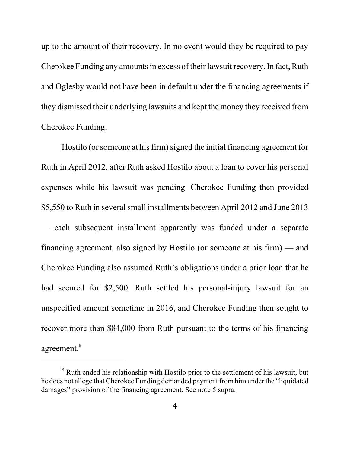up to the amount of their recovery. In no event would they be required to pay Cherokee Funding any amounts in excess of their lawsuit recovery. In fact, Ruth and Oglesby would not have been in default under the financing agreements if they dismissed their underlying lawsuits and kept the money they received from Cherokee Funding.

Hostilo (or someone at his firm) signed the initial financing agreement for Ruth in April 2012, after Ruth asked Hostilo about a loan to cover his personal expenses while his lawsuit was pending. Cherokee Funding then provided \$5,550 to Ruth in several small installments between April 2012 and June 2013 — each subsequent installment apparently was funded under a separate financing agreement, also signed by Hostilo (or someone at his firm) — and Cherokee Funding also assumed Ruth's obligations under a prior loan that he had secured for \$2,500. Ruth settled his personal-injury lawsuit for an unspecified amount sometime in 2016, and Cherokee Funding then sought to recover more than \$84,000 from Ruth pursuant to the terms of his financing agreement.<sup>8</sup>

<sup>&</sup>lt;sup>8</sup> Ruth ended his relationship with Hostilo prior to the settlement of his lawsuit, but he does not allege that Cherokee Funding demanded payment fromhim under the "liquidated damages" provision of the financing agreement. See note 5 supra.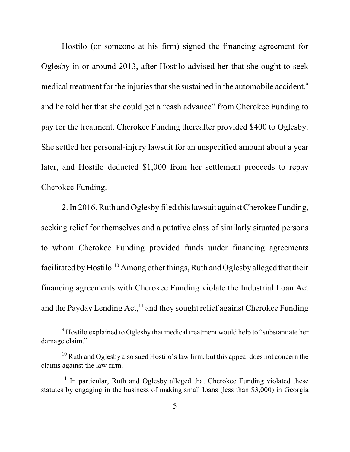Hostilo (or someone at his firm) signed the financing agreement for Oglesby in or around 2013, after Hostilo advised her that she ought to seek medical treatment for the injuries that she sustained in the automobile accident,<sup>9</sup> and he told her that she could get a "cash advance" from Cherokee Funding to pay for the treatment. Cherokee Funding thereafter provided \$400 to Oglesby. She settled her personal-injury lawsuit for an unspecified amount about a year later, and Hostilo deducted \$1,000 from her settlement proceeds to repay Cherokee Funding.

2. In 2016, Ruth and Oglesby filed this lawsuit against Cherokee Funding, seeking relief for themselves and a putative class of similarly situated persons to whom Cherokee Funding provided funds under financing agreements facilitated by Hostilo.<sup>10</sup> Among other things, Ruth and Oglesby alleged that their financing agreements with Cherokee Funding violate the Industrial Loan Act and the Payday Lending Act,<sup>11</sup> and they sought relief against Cherokee Funding

<sup>&</sup>lt;sup>9</sup> Hostilo explained to Oglesby that medical treatment would help to "substantiate her damage claim."

 $10$  Ruth and Oglesby also sued Hostilo's law firm, but this appeal does not concern the claims against the law firm.

<sup>&</sup>lt;sup>11</sup> In particular, Ruth and Oglesby alleged that Cherokee Funding violated these statutes by engaging in the business of making small loans (less than \$3,000) in Georgia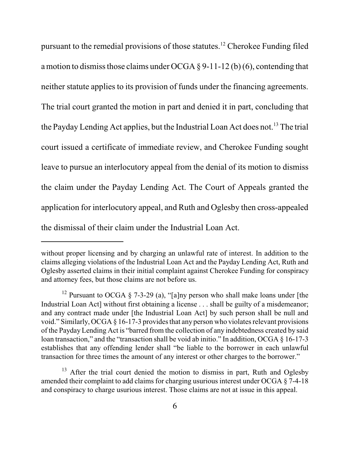pursuant to the remedial provisions of those statutes.<sup>12</sup> Cherokee Funding filed a motion to dismiss those claims under OCGA  $\S$  9-11-12 (b) (6), contending that neither statute applies to its provision of funds under the financing agreements. The trial court granted the motion in part and denied it in part, concluding that the Payday Lending Act applies, but the Industrial Loan Act does not.<sup>13</sup> The trial court issued a certificate of immediate review, and Cherokee Funding sought leave to pursue an interlocutory appeal from the denial of its motion to dismiss the claim under the Payday Lending Act. The Court of Appeals granted the application for interlocutory appeal, and Ruth and Oglesby then cross-appealed the dismissal of their claim under the Industrial Loan Act.

without proper licensing and by charging an unlawful rate of interest. In addition to the claims alleging violations of the Industrial Loan Act and the Payday Lending Act, Ruth and Oglesby asserted claims in their initial complaint against Cherokee Funding for conspiracy and attorney fees, but those claims are not before us.

<sup>&</sup>lt;sup>12</sup> Pursuant to OCGA § 7-3-29 (a), "[a]ny person who shall make loans under [the Industrial Loan Act] without first obtaining a license . . . shall be guilty of a misdemeanor; and any contract made under [the Industrial Loan Act] by such person shall be null and void." Similarly, OCGA § 16-17-3 provides that any person who violates relevant provisions of the PaydayLending Act is "barred from the collection of any indebtedness created by said loan transaction," and the "transaction shall be void ab initio." In addition, OCGA § 16-17-3 establishes that any offending lender shall "be liable to the borrower in each unlawful transaction for three times the amount of any interest or other charges to the borrower."

 $13$  After the trial court denied the motion to dismiss in part, Ruth and Oglesby amended their complaint to add claims for charging usurious interest under OCGA § 7-4-18 and conspiracy to charge usurious interest. Those claims are not at issue in this appeal.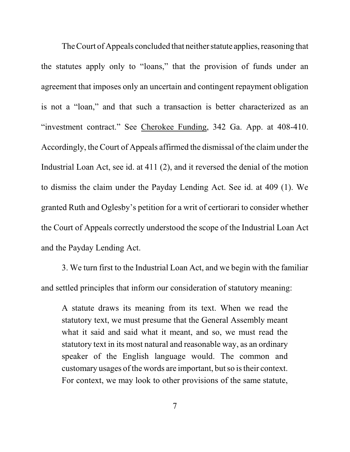The Court of Appeals concluded that neither statute applies, reasoning that the statutes apply only to "loans," that the provision of funds under an agreement that imposes only an uncertain and contingent repayment obligation is not a "loan," and that such a transaction is better characterized as an "investment contract." See Cherokee Funding, 342 Ga. App. at 408-410. Accordingly, the Court of Appeals affirmed the dismissal of the claim under the Industrial Loan Act, see id. at 411 (2), and it reversed the denial of the motion to dismiss the claim under the Payday Lending Act. See id. at 409 (1). We granted Ruth and Oglesby's petition for a writ of certiorari to consider whether the Court of Appeals correctly understood the scope of the Industrial Loan Act and the Payday Lending Act.

3. We turn first to the Industrial Loan Act, and we begin with the familiar and settled principles that inform our consideration of statutory meaning:

A statute draws its meaning from its text. When we read the statutory text, we must presume that the General Assembly meant what it said and said what it meant, and so, we must read the statutory text in its most natural and reasonable way, as an ordinary speaker of the English language would. The common and customary usages of the words are important, but so is their context. For context, we may look to other provisions of the same statute,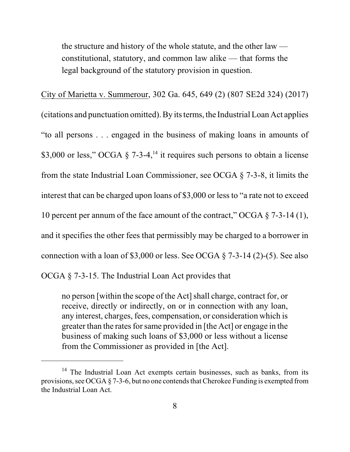the structure and history of the whole statute, and the other law constitutional, statutory, and common law alike — that forms the legal background of the statutory provision in question.

City of Marietta v. Summerour, 302 Ga. 645, 649 (2) (807 SE2d 324) (2017) (citations and punctuation omitted). By its terms, the Industrial Loan Act applies "to all persons . . . engaged in the business of making loans in amounts of \$3,000 or less," OCGA  $\S$  7-3-4,<sup>14</sup> it requires such persons to obtain a license from the state Industrial Loan Commissioner, see OCGA § 7-3-8, it limits the interest that can be charged upon loans of \$3,000 or less to "a rate not to exceed 10 percent per annum of the face amount of the contract," OCGA § 7-3-14 (1), and it specifies the other fees that permissibly may be charged to a borrower in connection with a loan of \$3,000 or less. See OCGA § 7-3-14 (2)-(5). See also OCGA § 7-3-15. The Industrial Loan Act provides that

no person [within the scope of the Act] shall charge, contract for, or receive, directly or indirectly, on or in connection with any loan, any interest, charges, fees, compensation, or consideration which is greater than the rates for same provided in [the Act] or engage in the business of making such loans of \$3,000 or less without a license from the Commissioner as provided in [the Act].

<sup>&</sup>lt;sup>14</sup> The Industrial Loan Act exempts certain businesses, such as banks, from its provisions, see OCGA § 7-3-6, but no one contends that Cherokee Funding is exempted from the Industrial Loan Act.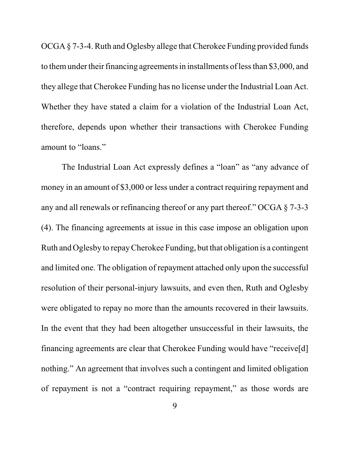OCGA § 7-3-4. Ruth and Oglesby allege that Cherokee Funding provided funds to themunder their financing agreements in installments of less than \$3,000, and they allege that Cherokee Funding has no license under the Industrial Loan Act. Whether they have stated a claim for a violation of the Industrial Loan Act, therefore, depends upon whether their transactions with Cherokee Funding amount to "loans."

The Industrial Loan Act expressly defines a "loan" as "any advance of money in an amount of \$3,000 or less under a contract requiring repayment and any and all renewals or refinancing thereof or any part thereof." OCGA § 7-3-3 (4). The financing agreements at issue in this case impose an obligation upon Ruth and Oglesby to repayCherokee Funding, but that obligation is a contingent and limited one. The obligation of repayment attached only upon the successful resolution of their personal-injury lawsuits, and even then, Ruth and Oglesby were obligated to repay no more than the amounts recovered in their lawsuits. In the event that they had been altogether unsuccessful in their lawsuits, the financing agreements are clear that Cherokee Funding would have "receive[d] nothing." An agreement that involves such a contingent and limited obligation of repayment is not a "contract requiring repayment," as those words are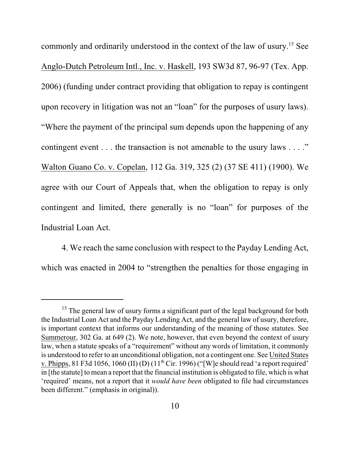commonly and ordinarily understood in the context of the law of usury. <sup>15</sup> See Anglo-Dutch Petroleum Intl., Inc. v. Haskell, 193 SW3d 87, 96-97 (Tex. App. 2006) (funding under contract providing that obligation to repay is contingent upon recovery in litigation was not an "loan" for the purposes of usury laws). "Where the payment of the principal sum depends upon the happening of any contingent event . . . the transaction is not amenable to the usury laws . . . ." Walton Guano Co. v. Copelan, 112 Ga. 319, 325 (2) (37 SE 411) (1900). We agree with our Court of Appeals that, when the obligation to repay is only contingent and limited, there generally is no "loan" for purposes of the Industrial Loan Act.

4. We reach the same conclusion with respect to the Payday Lending Act, which was enacted in 2004 to "strengthen the penalties for those engaging in

<sup>&</sup>lt;sup>15</sup> The general law of usury forms a significant part of the legal background for both the Industrial Loan Act and the Payday Lending Act, and the general law of usury, therefore, is important context that informs our understanding of the meaning of those statutes. See Summerour, 302 Ga. at 649 (2). We note, however, that even beyond the context of usury law, when a statute speaks of a "requirement" without any words of limitation, it commonly is understood to refer to an unconditional obligation, not a contingent one. See United States v. Phipps, 81 F3d 1056, 1060 (II) (D)  $(11<sup>th</sup> Cir. 1996)$  ("[W]e should read 'a report required' in [the statute] to mean a report that the financial institution is obligated to file, which is what 'required' means, not a report that it *would have been* obligated to file had circumstances been different." (emphasis in original)).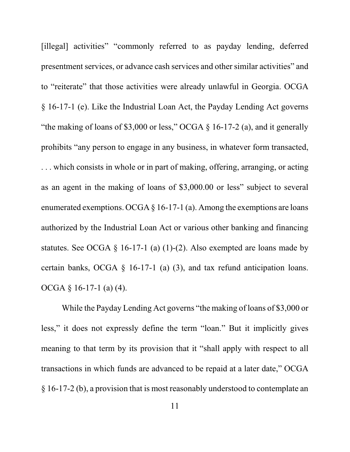[illegal] activities" "commonly referred to as payday lending, deferred presentment services, or advance cash services and other similar activities" and to "reiterate" that those activities were already unlawful in Georgia. OCGA § 16-17-1 (e). Like the Industrial Loan Act, the Payday Lending Act governs "the making of loans of \$3,000 or less," OCGA  $\S$  16-17-2 (a), and it generally prohibits "any person to engage in any business, in whatever form transacted, . . . which consists in whole or in part of making, offering, arranging, or acting as an agent in the making of loans of \$3,000.00 or less" subject to several enumerated exemptions. OCGA  $\S$  16-17-1 (a). Among the exemptions are loans authorized by the Industrial Loan Act or various other banking and financing statutes. See OCGA  $\S$  16-17-1 (a) (1)-(2). Also exempted are loans made by certain banks, OCGA § 16-17-1 (a) (3), and tax refund anticipation loans. OCGA § 16-17-1 (a) (4).

While the Payday Lending Act governs "the making of loans of \$3,000 or less," it does not expressly define the term "loan." But it implicitly gives meaning to that term by its provision that it "shall apply with respect to all transactions in which funds are advanced to be repaid at a later date," OCGA § 16-17-2 (b), a provision that is most reasonably understood to contemplate an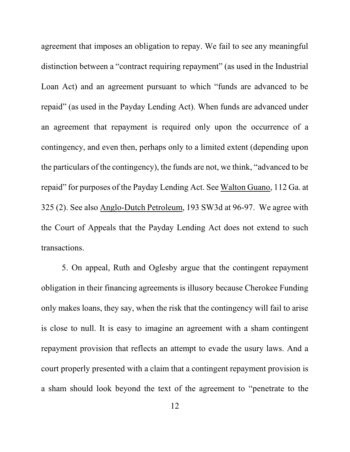agreement that imposes an obligation to repay. We fail to see any meaningful distinction between a "contract requiring repayment" (as used in the Industrial Loan Act) and an agreement pursuant to which "funds are advanced to be repaid" (as used in the Payday Lending Act). When funds are advanced under an agreement that repayment is required only upon the occurrence of a contingency, and even then, perhaps only to a limited extent (depending upon the particulars of the contingency), the funds are not, we think, "advanced to be repaid" for purposes of the Payday Lending Act. See Walton Guano, 112 Ga. at 325 (2). See also Anglo-Dutch Petroleum, 193 SW3d at 96-97. We agree with the Court of Appeals that the Payday Lending Act does not extend to such transactions.

5. On appeal, Ruth and Oglesby argue that the contingent repayment obligation in their financing agreements is illusory because Cherokee Funding only makes loans, they say, when the risk that the contingency will fail to arise is close to null. It is easy to imagine an agreement with a sham contingent repayment provision that reflects an attempt to evade the usury laws. And a court properly presented with a claim that a contingent repayment provision is a sham should look beyond the text of the agreement to "penetrate to the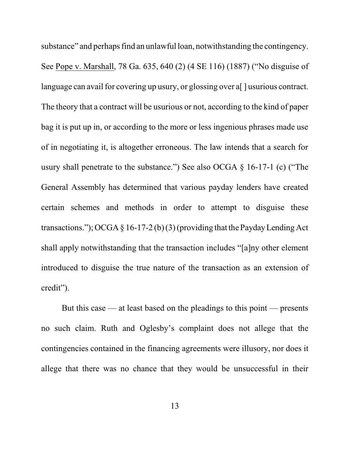substance" and perhaps find an unlawful loan, notwithstanding the contingency. See Pope v. Marshall, 78 Ga. 635, 640 (2) (4 SE 116) (1887) ("No disguise of language can avail for covering up usury, or glossing over a[] usurious contract. The theory that a contract will be usurious or not, according to the kind of paper bag it is put up in, or according to the more or less ingenious phrases made use of in negotiating it, is altogether erroneous. The law intends that a search for usury shall penetrate to the substance.") See also OCGA § 16-17-1 (c) ("The General Assembly has determined that various payday lenders have created certain schemes and methods in order to attempt to disguise these transactions."); OCGA  $\S$  16-17-2 (b) (3) (providing that the Payday Lending Act shall apply notwithstanding that the transaction includes "[a]ny other element introduced to disguise the true nature of the transaction as an extension of credit").

But this case — at least based on the pleadings to this point — presents no such claim. Ruth and Oglesby's complaint does not allege that the contingencies contained in the financing agreements were illusory, nor does it allege that there was no chance that they would be unsuccessful in their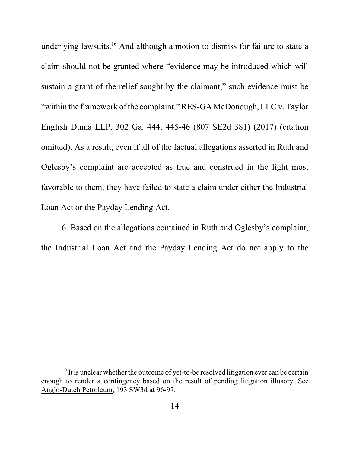underlying lawsuits.<sup>16</sup> And although a motion to dismiss for failure to state a claim should not be granted where "evidence may be introduced which will sustain a grant of the relief sought by the claimant," such evidence must be "within the framework of the complaint."RES-GA McDonough, LLC v. Taylor English Duma LLP, 302 Ga. 444, 445-46 (807 SE2d 381) (2017) (citation omitted). As a result, even if all of the factual allegations asserted in Ruth and Oglesby's complaint are accepted as true and construed in the light most favorable to them, they have failed to state a claim under either the Industrial Loan Act or the Payday Lending Act.

6. Based on the allegations contained in Ruth and Oglesby's complaint, the Industrial Loan Act and the Payday Lending Act do not apply to the

 $16$  It is unclear whether the outcome of yet-to-be resolved litigation ever can be certain enough to render a contingency based on the result of pending litigation illusory. See Anglo-Dutch Petroleum, 193 SW3d at 96-97.